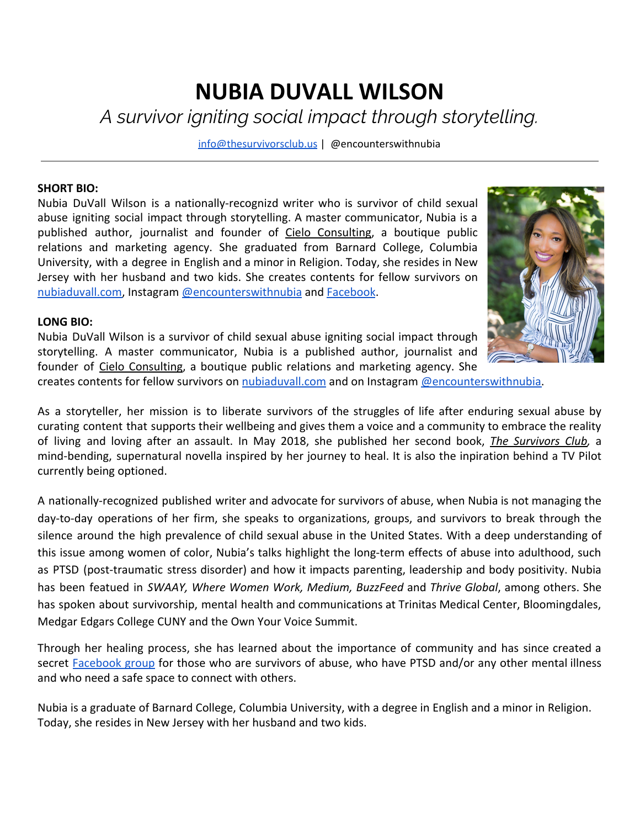## **NUBIA DUVALL WILSON** *A survivor igniting social impact through storytelling.*

[info@thesurvivorsclub.us](mailto:Info@thesurvivorsclub.us) | @encounterswithnubia

## **SHORT BIO:**

Nubia DuVall Wilson is a nationally-recognizd writer who is survivor of child sexual abuse igniting social impact through storytelling. A master communicator, Nubia is a published author, journalist and founder of Cielo [Consulting,](http://www.cieloconsulting.biz/) a boutique public relations and marketing agency. She graduated from Barnard College, Columbia University, with a degree in English and a minor in Religion. Today, she resides in New Jersey with her husband and two kids. She creates contents for fellow survivors on [nubiaduvall.com,](http://www.nubiaduvall.com/) Instagram [@encounterswithnubia](https://www.instagram.com/encounterswithnubia/) and [Facebook](https://www.facebook.com/encounterswithnubia/).



## **LONG BIO:**

Nubia DuVall Wilson is a survivor of child sexual abuse igniting social impact through storytelling. A master communicator, Nubia is a published author, journalist and founder of Cielo [Consulting,](http://www.cieloconsulting.biz/) a boutique public relations and marketing agency. She

creates contents for fellow survivors on [nubiaduvall.com](http://www.nubiaduvall.com/) and on Instagram [@encounterswithnubia.](https://www.instagram.com/encounterswithnubia/)

As a storyteller, her mission is to liberate survivors of the struggles of life after enduring sexual abuse by curating content that supports their wellbeing and gives them a voice and a community to embrace the reality of living and loving after an assault. In May 2018, she published her second book, *The [Survivors](http://www.thesurvivorsclub.us/) Club,* a mind-bending, supernatural novella inspired by her journey to heal. It is also the inpiration behind a TV Pilot currently being optioned.

A nationally-recognized published writer and advocate for survivors of abuse, when Nubia is not managing the day-to-day operations of her firm, she speaks to organizations, groups, and survivors to break through the silence around the high prevalence of child sexual abuse in the United States. With a deep understanding of this issue among women of color, Nubia's talks highlight the long-term effects of abuse into adulthood, such as PTSD (post-traumatic stress disorder) and how it impacts parenting, leadership and body positivity. Nubia has been featued in *SWAAY, Where Women Work, Medium, BuzzFeed* and *Thrive Global*, among others. She has spoken about survivorship, mental health and communications at Trinitas Medical Center, Bloomingdales, Medgar Edgars College CUNY and the Own Your Voice Summit.

Through her healing process, she has learned about the importance of community and has since created a secret **[Facebook](https://forms.gle/meYfjPt6QtvLbiY8A) group** for those who are survivors of abuse, who have PTSD and/or any other mental illness and who need a safe space to connect with others.

Nubia is a graduate of Barnard College, Columbia University, with a degree in English and a minor in Religion. Today, she resides in New Jersey with her husband and two kids.